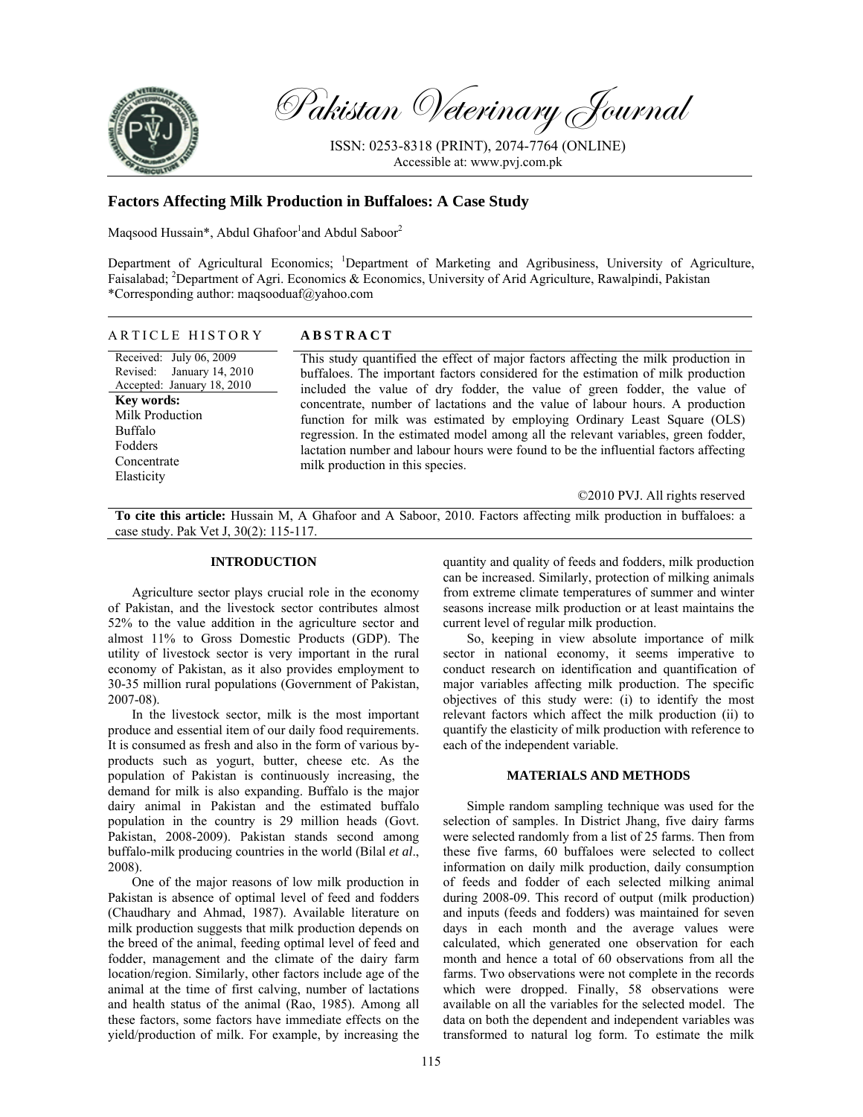

Pakistan Veterinary Journal

ISSN: 0253-8318 (PRINT), 2074-7764 (ONLINE) Accessible at: www.pvj.com.pk

# **Factors Affecting Milk Production in Buffaloes: A Case Study**

Maqsood Hussain\*, Abdul Ghafoor<sup>1</sup>and Abdul Saboor<sup>2</sup>

Department of Agricultural Economics; <sup>1</sup>Department of Marketing and Agribusiness, University of Agriculture, Faisalabad; <sup>2</sup>Department of Agri. Economics & Economics, University of Arid Agriculture, Rawalpindi, Pakistan \*Corresponding author: maqsooduaf@yahoo.com

#### ARTICLE HISTORY **ABSTRACT**

Received: July 06, 2009 Revised: January 14, 2010 Accepted: January 18, 2010 **Key words:**  Milk Production Buffalo Fodders Concentrate Elasticity

This study quantified the effect of major factors affecting the milk production in buffaloes. The important factors considered for the estimation of milk production included the value of dry fodder, the value of green fodder, the value of concentrate, number of lactations and the value of labour hours. A production function for milk was estimated by employing Ordinary Least Square (OLS) regression. In the estimated model among all the relevant variables, green fodder, lactation number and labour hours were found to be the influential factors affecting milk production in this species.

©2010 PVJ. All rights reserved

**To cite this article:** Hussain M, A Ghafoor and A Saboor, 2010. Factors affecting milk production in buffaloes: a case study. Pak Vet J, 30(2): 115-117.

## **INTRODUCTION**

Agriculture sector plays crucial role in the economy of Pakistan, and the livestock sector contributes almost 52% to the value addition in the agriculture sector and almost 11% to Gross Domestic Products (GDP). The utility of livestock sector is very important in the rural economy of Pakistan, as it also provides employment to 30-35 million rural populations (Government of Pakistan, 2007-08).

In the livestock sector, milk is the most important produce and essential item of our daily food requirements. It is consumed as fresh and also in the form of various byproducts such as yogurt, butter, cheese etc. As the population of Pakistan is continuously increasing, the demand for milk is also expanding. Buffalo is the major dairy animal in Pakistan and the estimated buffalo population in the country is 29 million heads (Govt. Pakistan, 2008-2009). Pakistan stands second among buffalo-milk producing countries in the world (Bilal *et al*., 2008).

One of the major reasons of low milk production in Pakistan is absence of optimal level of feed and fodders (Chaudhary and Ahmad, 1987). Available literature on milk production suggests that milk production depends on the breed of the animal, feeding optimal level of feed and fodder, management and the climate of the dairy farm location/region. Similarly, other factors include age of the animal at the time of first calving, number of lactations and health status of the animal (Rao, 1985). Among all these factors, some factors have immediate effects on the yield/production of milk. For example, by increasing the

quantity and quality of feeds and fodders, milk production can be increased. Similarly, protection of milking animals from extreme climate temperatures of summer and winter seasons increase milk production or at least maintains the current level of regular milk production.

So, keeping in view absolute importance of milk sector in national economy, it seems imperative to conduct research on identification and quantification of major variables affecting milk production. The specific objectives of this study were: (i) to identify the most relevant factors which affect the milk production (ii) to quantify the elasticity of milk production with reference to each of the independent variable.

## **MATERIALS AND METHODS**

Simple random sampling technique was used for the selection of samples. In District Jhang, five dairy farms were selected randomly from a list of 25 farms. Then from these five farms, 60 buffaloes were selected to collect information on daily milk production, daily consumption of feeds and fodder of each selected milking animal during 2008-09. This record of output (milk production) and inputs (feeds and fodders) was maintained for seven days in each month and the average values were calculated, which generated one observation for each month and hence a total of 60 observations from all the farms. Two observations were not complete in the records which were dropped. Finally, 58 observations were available on all the variables for the selected model. The data on both the dependent and independent variables was transformed to natural log form. To estimate the milk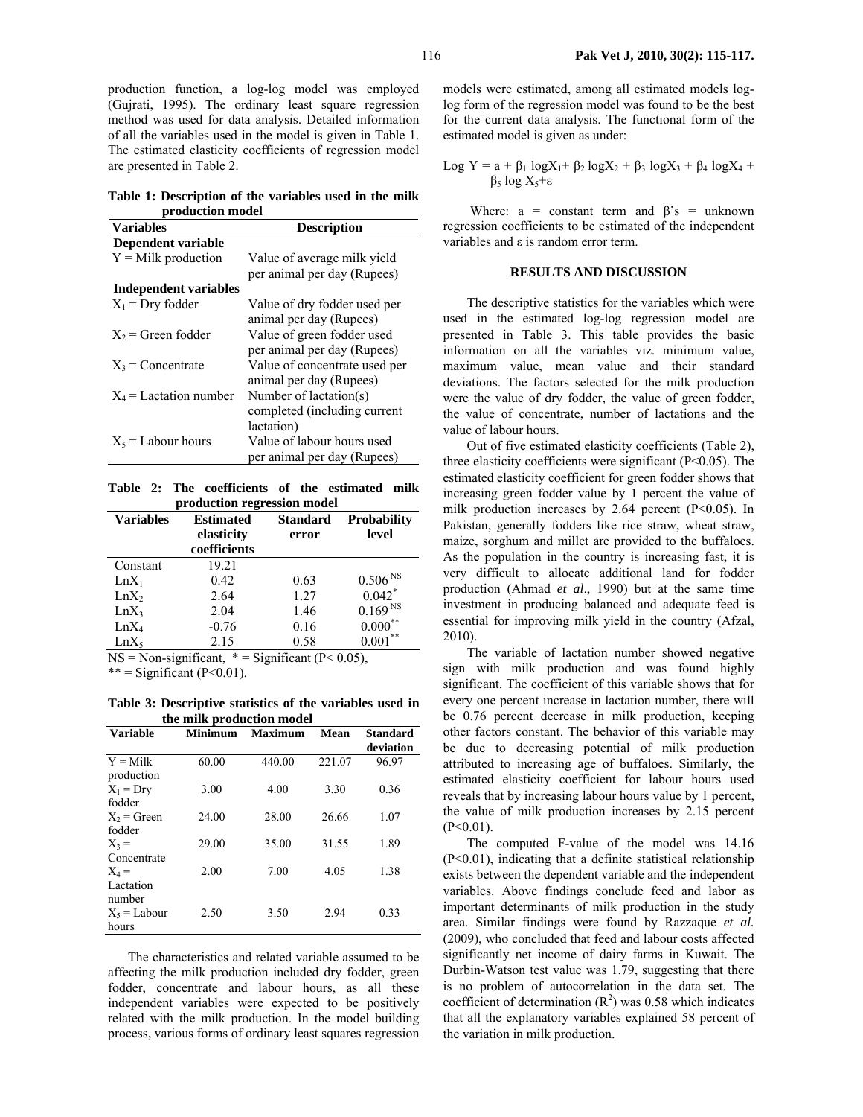production function, a log-log model was employed (Gujrati, 1995). The ordinary least square regression method was used for data analysis. Detailed information of all the variables used in the model is given in Table 1. The estimated elasticity coefficients of regression model are presented in Table 2.

**Table 1: Description of the variables used in the milk production model**

| <b>Variables</b>         | <b>Description</b>                                                      |  |  |
|--------------------------|-------------------------------------------------------------------------|--|--|
| Dependent variable       |                                                                         |  |  |
| $Y =$ Milk production    | Value of average milk yield<br>per animal per day (Rupees)              |  |  |
| Independent variables    |                                                                         |  |  |
| $X_1$ = Dry fodder       | Value of dry fodder used per<br>animal per day (Rupees)                 |  |  |
| $X_2$ = Green fodder     | Value of green fodder used<br>per animal per day (Rupees)               |  |  |
| $X_3$ = Concentrate      | Value of concentrate used per<br>animal per day (Rupees)                |  |  |
| $X_4$ = Lactation number | Number of lactation(s)<br>completed (including current                  |  |  |
| $X_5$ = Labour hours     | lactation)<br>Value of labour hours used<br>per animal per day (Rupees) |  |  |

**Table 2: The coefficients of the estimated milk production regression model**

| <b>Variables</b> | <b>Estimated</b><br>elasticity<br>coefficients                                                                                                                                                                                                                                                                                         | <b>Standard</b><br>error | <b>Probability</b><br>level |
|------------------|----------------------------------------------------------------------------------------------------------------------------------------------------------------------------------------------------------------------------------------------------------------------------------------------------------------------------------------|--------------------------|-----------------------------|
| Constant         | 19.21                                                                                                                                                                                                                                                                                                                                  |                          |                             |
| $LnX_1$          | 0.42                                                                                                                                                                                                                                                                                                                                   | 0.63                     | 0.506 <sup>NS</sup>         |
| LnX <sub>2</sub> | 2.64                                                                                                                                                                                                                                                                                                                                   | 1.27                     | $0.042$ *                   |
| LnX <sub>3</sub> | 2.04                                                                                                                                                                                                                                                                                                                                   | 1.46                     | $0.169NS$                   |
| $LnX_4$          | $-0.76$                                                                                                                                                                                                                                                                                                                                | 0.16                     | **<br>$0.000^*$             |
| $LnX_5$          | 2.15                                                                                                                                                                                                                                                                                                                                   | 0.58                     | **<br>0.001                 |
|                  | $\mathbf{M} \cap \mathbf{M}$ $\mathbf{M}$ $\mathbf{M}$ $\mathbf{M}$ $\mathbf{M}$ $\mathbf{M}$ $\mathbf{M}$ $\mathbf{M}$ $\mathbf{M}$ $\mathbf{M}$ $\mathbf{M}$ $\mathbf{M}$ $\mathbf{M}$ $\mathbf{M}$ $\mathbf{M}$ $\mathbf{M}$ $\mathbf{M}$ $\mathbf{M}$ $\mathbf{M}$ $\mathbf{M}$ $\mathbf{M}$ $\mathbf{M}$ $\mathbf{M}$ $\mathbf{M$ |                          |                             |

 $NS = Non-significant, * = Significant (P< 0.05),$ 

 $***$  = Significant (P<0.01).

**Table 3: Descriptive statistics of the variables used in the milk production model** 

| <b>Variable</b> | <b>Minimum</b> | <b>Maximum</b> | Mean   | <b>Standard</b> |
|-----------------|----------------|----------------|--------|-----------------|
|                 |                |                |        | deviation       |
| $Y =$ Milk      | 60.00          | 440.00         | 221.07 | 96.97           |
| production      |                |                |        |                 |
| $X_1 = Drv$     | 3.00           | 4.00           | 3.30   | 0.36            |
| fodder          |                |                |        |                 |
| $X_2$ = Green   | 24.00          | 28.00          | 26.66  | 1.07            |
| fodder          |                |                |        |                 |
| $X_3 =$         | 29.00          | 35.00          | 31.55  | 1.89            |
| Concentrate     |                |                |        |                 |
| $X_4 =$         | 2.00           | 7.00           | 4.05   | 1.38            |
| Lactation       |                |                |        |                 |
| number          |                |                |        |                 |
| $X_5 =$ Labour  | 2.50           | 3.50           | 2.94   | 0.33            |
| hours           |                |                |        |                 |

The characteristics and related variable assumed to be affecting the milk production included dry fodder, green fodder, concentrate and labour hours, as all these independent variables were expected to be positively related with the milk production. In the model building process, various forms of ordinary least squares regression

models were estimated, among all estimated models loglog form of the regression model was found to be the best for the current data analysis. The functional form of the estimated model is given as under:

Log Y = 
$$
a + \beta_1 \log X_1 + \beta_2 \log X_2 + \beta_3 \log X_3 + \beta_4 \log X_4 + \beta_5 \log X_5 + \epsilon
$$

Where:  $a = constant term$  and  $\beta's = unknown$ regression coefficients to be estimated of the independent variables and ε is random error term.

## **RESULTS AND DISCUSSION**

The descriptive statistics for the variables which were used in the estimated log-log regression model are presented in Table 3. This table provides the basic information on all the variables viz. minimum value, maximum value, mean value and their standard deviations. The factors selected for the milk production were the value of dry fodder, the value of green fodder, the value of concentrate, number of lactations and the value of labour hours.

Out of five estimated elasticity coefficients (Table 2), three elasticity coefficients were significant  $(P<0.05)$ . The estimated elasticity coefficient for green fodder shows that increasing green fodder value by 1 percent the value of milk production increases by  $2.64$  percent (P<0.05). In Pakistan, generally fodders like rice straw, wheat straw, maize, sorghum and millet are provided to the buffaloes. As the population in the country is increasing fast, it is very difficult to allocate additional land for fodder production (Ahmad *et al*., 1990) but at the same time investment in producing balanced and adequate feed is essential for improving milk yield in the country (Afzal, 2010).

The variable of lactation number showed negative sign with milk production and was found highly significant. The coefficient of this variable shows that for every one percent increase in lactation number, there will be 0.76 percent decrease in milk production, keeping other factors constant. The behavior of this variable may be due to decreasing potential of milk production attributed to increasing age of buffaloes. Similarly, the estimated elasticity coefficient for labour hours used reveals that by increasing labour hours value by 1 percent, the value of milk production increases by 2.15 percent  $(P<0.01)$ .

The computed F-value of the model was 14.16 (P<0.01), indicating that a definite statistical relationship exists between the dependent variable and the independent variables. Above findings conclude feed and labor as important determinants of milk production in the study area. Similar findings were found by Razzaque *et al.* (2009), who concluded that feed and labour costs affected significantly net income of dairy farms in Kuwait. The Durbin-Watson test value was 1.79, suggesting that there is no problem of autocorrelation in the data set. The coefficient of determination  $(R^2)$  was 0.58 which indicates that all the explanatory variables explained 58 percent of the variation in milk production.